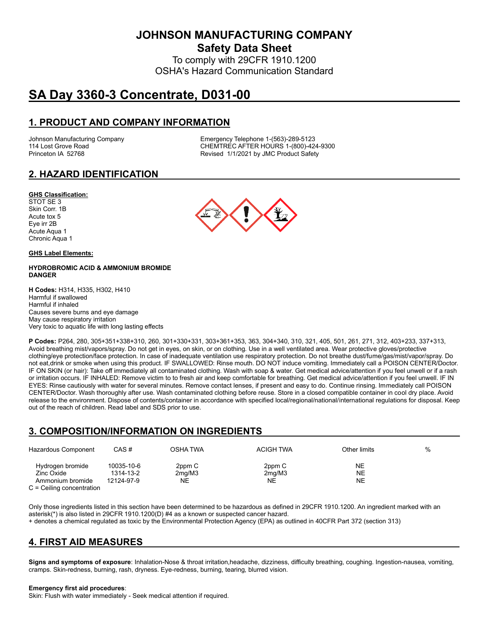**JOHNSON MANUFACTURING COMPANY**

**Safety Data Sheet**

To comply with 29CFR 1910.1200 OSHA's Hazard Communication Standard

# **SA Day 3360-3 Concentrate, D031-00**

# **1. PRODUCT AND COMPANY INFORMATION**

Johnson Manufacturing Company Emergency Telephone 1-(563)-289-5123 114 Lost Grove Road **CHEMTREC AFTER HOURS 1-(800)-424-9300**<br>Princeton IA 52768 **CHEMTREC AFTER HOURS 1-(800)-424-9300** Revised 1/1/2021 by JMC Product Safety

# **2. HAZARD IDENTIFICATION**

### **GHS Classification:**

STOT SE 3 Skin Corr. 1B Acute tox 5 Eye irr 2B Acute Aqua 1 Chronic Aqua 1

### **GHS Label Elements:**

### **HYDROBROMIC ACID & AMMONIUM BROMIDE DANGER**

**H Codes:** H314, H335, H302, H410 Harmful if swallowed Harmful if inhaled Causes severe burns and eye damage May cause respiratory irritation Very toxic to aquatic life with long lasting effects

**P Codes:** P264, 280, 305+351+338+310, 260, 301+330+331, 303+361+353, 363, 304+340, 310, 321, 405, 501, 261, 271, 312, 403+233, 337+313, Avoid breathing mist/vapors/spray. Do not get in eyes, on skin, or on clothing. Use in a well ventilated area. Wear protective gloves/protective clothing/eye protection/face protection. In case of inadequate ventilation use respiratory protection. Do not breathe dust/fume/gas/mist/vapor/spray. Do not eat,drink or smoke when using this product. IF SWALLOWED: Rinse mouth. DO NOT induce vomiting. Immediately call a POISON CENTER/Doctor. IF ON SKIN (or hair): Take off immediately all contaminated clothing. Wash with soap & water. Get medical advice/attention if you feel unwell or if a rash or irritation occurs. IF INHALED: Remove victim to to fresh air and keep comfortable for breathing. Get medical advice/attention if you feel unwell. IF IN EYES: Rinse cautiously with water for several minutes. Remove contact lenses, if present and easy to do. Continue rinsing. Immediately call POISON CENTER/Doctor. Wash thoroughly after use. Wash contaminated clothing before reuse. Store in a closed compatible container in cool dry place. Avoid release to the environment. Dispose of contents/container in accordance with specified local/regional/national/international regulations for disposal. Keep out of the reach of children. Read label and SDS prior to use.

## **3. COMPOSITION/INFORMATION ON INGREDIENTS**

| Hazardous Component                                                               | CAS#                                  | OSHA TWA               | <b>ACIGH TWA</b>                    | Other limits    | % |
|-----------------------------------------------------------------------------------|---------------------------------------|------------------------|-------------------------------------|-----------------|---|
| Hydrogen bromide<br>Zinc Oxide<br>Ammonium bromide<br>$C =$ Ceiling concentration | 10035-10-6<br>1314-13-2<br>12124-97-9 | 2ppm C<br>2mq/M3<br>NΕ | 2ppm C<br>2 <sub>mq</sub> /M3<br>NΕ | NE.<br>NE<br>NE |   |

Only those ingredients listed in this section have been determined to be hazardous as defined in 29CFR 1910.1200. An ingredient marked with an asterisk(\*) is also listed in 29CFR 1910.1200(D) #4 as a known or suspected cancer hazard.

+ denotes a chemical regulated as toxic by the Environmental Protection Agency (EPA) as outlined in 40CFR Part 372 (section 313)

# **4. FIRST AID MEASURES**

**Signs and symptoms of exposure**: Inhalation-Nose & throat irritation,headache, dizziness, difficulty breathing, coughing. Ingestion-nausea, vomiting, cramps. Skin-redness, burning, rash, dryness. Eye-redness, burning, tearing, blurred vision.

#### **Emergency first aid procedures**:

Skin: Flush with water immediately - Seek medical attention if required.

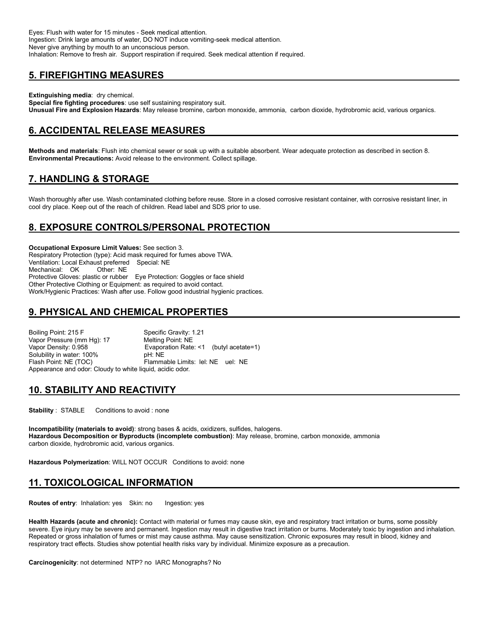Eyes: Flush with water for 15 minutes - Seek medical attention. Ingestion: Drink large amounts of water, DO NOT induce vomiting-seek medical attention. Never give anything by mouth to an unconscious person. Inhalation: Remove to fresh air. Support respiration if required. Seek medical attention if required.

# **5. FIREFIGHTING MEASURES**

**Extinguishing media**: dry chemical.

**Special fire fighting procedures**: use self sustaining respiratory suit. **Unusual Fire and Explosion Hazards**: May release bromine, carbon monoxide, ammonia, carbon dioxide, hydrobromic acid, various organics.

# **6. ACCIDENTAL RELEASE MEASURES**

**Methods and materials**: Flush into chemical sewer or soak up with a suitable absorbent. Wear adequate protection as described in section 8. **Environmental Precautions:** Avoid release to the environment. Collect spillage.

# **7. HANDLING & STORAGE**

Wash thoroughly after use. Wash contaminated clothing before reuse. Store in a closed corrosive resistant container, with corrosive resistant liner, in cool dry place. Keep out of the reach of children. Read label and SDS prior to use.

# **8. EXPOSURE CONTROLS/PERSONAL PROTECTION**

**Occupational Exposure Limit Values:** See section 3. Respiratory Protection (type): Acid mask required for fumes above TWA. Ventilation: Local Exhaust preferred Special: NE Mechanical: OK Protective Gloves: plastic or rubber Eye Protection: Goggles or face shield Other Protective Clothing or Equipment: as required to avoid contact. Work/Hygienic Practices: Wash after use. Follow good industrial hygienic practices.

# **9. PHYSICAL AND CHEMICAL PROPERTIES**

Boiling Point: 215 F Specific Gravity: 1.21 Vapor Pressure (mm Hg): 17 Melting Point: NE Vapor Density: 0.958 **Evaporation Rate: <1** (butyl acetate=1)<br>Solubility in water: 100% **Example: NE** Solubility in water: 100% Flash Point: NE (TOC) Flammable Limits: lel: NE uel: NE Appearance and odor: Cloudy to white liquid, acidic odor.

## **10. STABILITY AND REACTIVITY**

**Stability** : STABLE Conditions to avoid : none

**Incompatibility (materials to avoid)**: strong bases & acids, oxidizers, sulfides, halogens. **Hazardous Decomposition or Byproducts (incomplete combustion)**: May release, bromine, carbon monoxide, ammonia carbon dioxide, hydrobromic acid, various organics.

**Hazardous Polymerization**: WILL NOT OCCUR Conditions to avoid: none

# **11. TOXICOLOGICAL INFORMATION**

**Routes of entry:** Inhalation: yes Skin: no Ingestion: yes

**Health Hazards (acute and chronic):** Contact with material or fumes may cause skin, eye and respiratory tract irritation or burns, some possibly severe. Eye injury may be severe and permanent. Ingestion may result in digestive tract irritation or burns. Moderately toxic by ingestion and inhalation. Repeated or gross inhalation of fumes or mist may cause asthma. May cause sensitization. Chronic exposures may result in blood, kidney and respiratory tract effects. Studies show potential health risks vary by individual. Minimize exposure as a precaution.

**Carcinogenicity**: not determined NTP? no IARC Monographs? No